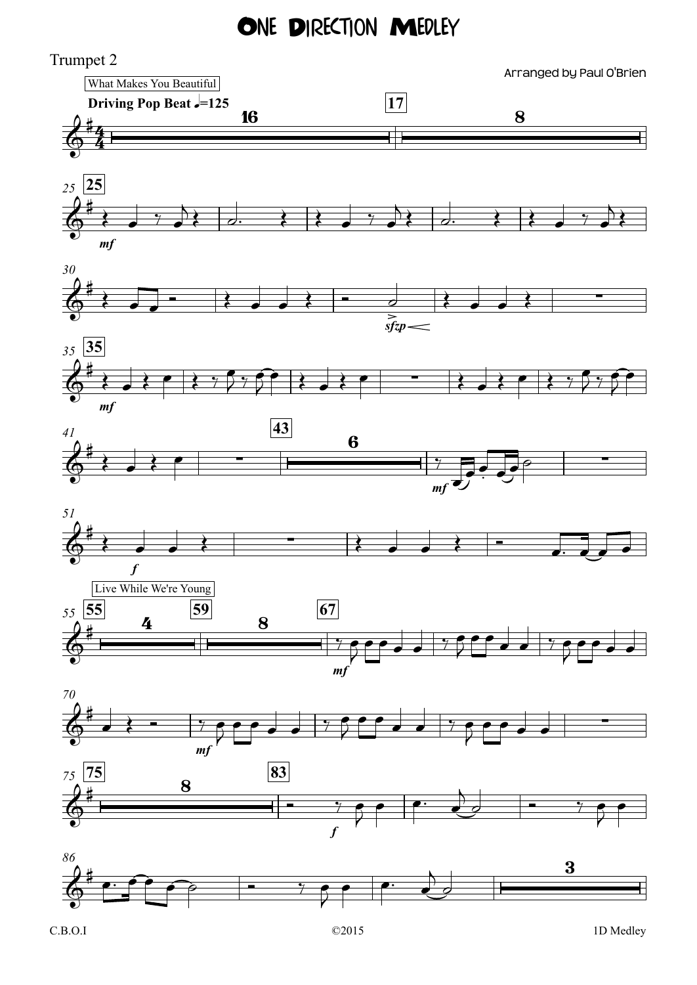## ONE DIRECTION MEDLEY